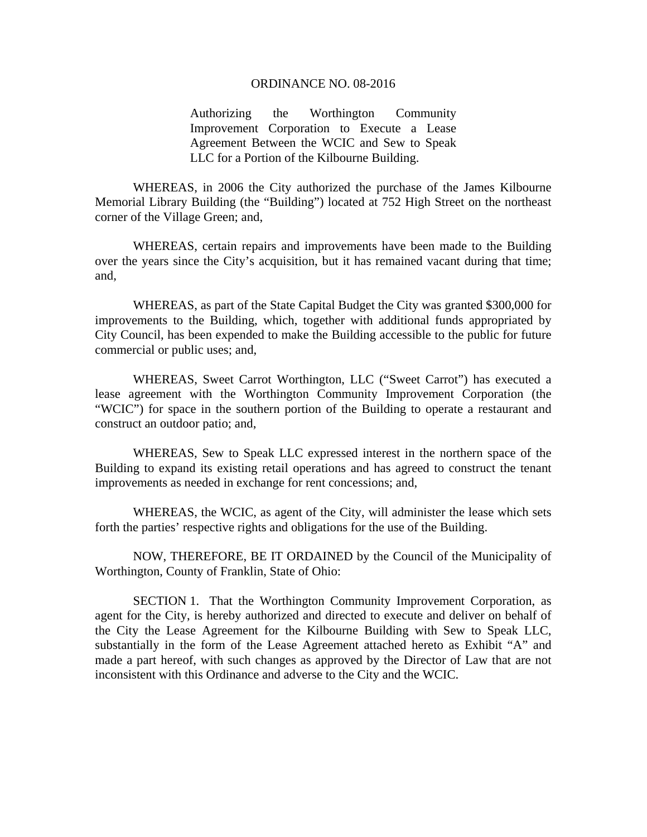## ORDINANCE NO. 08-2016

Authorizing the Worthington Community Improvement Corporation to Execute a Lease Agreement Between the WCIC and Sew to Speak LLC for a Portion of the Kilbourne Building.

 WHEREAS, in 2006 the City authorized the purchase of the James Kilbourne Memorial Library Building (the "Building") located at 752 High Street on the northeast corner of the Village Green; and,

WHEREAS, certain repairs and improvements have been made to the Building over the years since the City's acquisition, but it has remained vacant during that time; and,

WHEREAS, as part of the State Capital Budget the City was granted \$300,000 for improvements to the Building, which, together with additional funds appropriated by City Council, has been expended to make the Building accessible to the public for future commercial or public uses; and,

WHEREAS, Sweet Carrot Worthington, LLC ("Sweet Carrot") has executed a lease agreement with the Worthington Community Improvement Corporation (the "WCIC") for space in the southern portion of the Building to operate a restaurant and construct an outdoor patio; and,

WHEREAS, Sew to Speak LLC expressed interest in the northern space of the Building to expand its existing retail operations and has agreed to construct the tenant improvements as needed in exchange for rent concessions; and,

WHEREAS, the WCIC, as agent of the City, will administer the lease which sets forth the parties' respective rights and obligations for the use of the Building.

 NOW, THEREFORE, BE IT ORDAINED by the Council of the Municipality of Worthington, County of Franklin, State of Ohio:

SECTION 1. That the Worthington Community Improvement Corporation, as agent for the City, is hereby authorized and directed to execute and deliver on behalf of the City the Lease Agreement for the Kilbourne Building with Sew to Speak LLC, substantially in the form of the Lease Agreement attached hereto as Exhibit "A" and made a part hereof, with such changes as approved by the Director of Law that are not inconsistent with this Ordinance and adverse to the City and the WCIC.